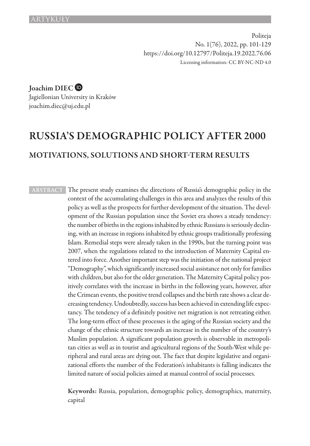Politeja No. 1(76), 2022, pp. 101-129 https://doi.org/10.12797/Politeja.19.2022.76.06 Licensing information: CC BY-NC-ND 4.0

Joachim DIEC

Jagiellonian University in Kraków joachim.diec@uj.edu.pl

# RUSSIA'S DEMOGRAPHIC POLICY AFTER 2000 MOTIVATIONS, SOLUTIONS AND SHORT-TERM RESULTS

**ABSTRACT** The present study examines the directions of Russia's demographic policy in the context of the accumulating challenges in this area and analyzes the results of this policy as well as the prospects for further development of the situation. The development of the Russian population since the Soviet era shows a steady tendency: the number of births in the regions inhabited by ethnic Russians is seriously declining, with an increase in regions inhabited by ethnic groups traditionally professing Islam. Remedial steps were already taken in the 1990s, but the turning point was 2007, when the regulations related to the introduction of Maternity Capital entered into force. Another important step was the initiation of the national project "Demography", which significantly increased social assistance not only for families with children, but also for the older generation. The Maternity Capital policy positively correlates with the increase in births in the following years, however, after the Crimean events, the positive trend collapses and the birth rate shows a clear decreasing tendency. Undoubtedly, success has been achieved in extending life expectancy. The tendency of a definitely positive net migration is not retreating either. The long-term effect of these processes is the aging of the Russian society and the change of the ethnic structure towards an increase in the number of the country's Muslim population. A significant population growth is observable in metropolitan cities as well as in tourist and agricultural regions of the South-West while peripheral and rural areas are dying out. The fact that despite legislative and organizational efforts the number of the Federation's inhabitants is falling indicates the limited nature of social policies aimed at manual control of social processes.

> Keywords: Russia, population, demographic policy, demographics, maternity, capital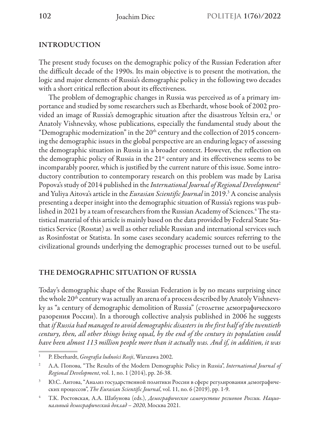## INTRODUCTION

The present study focuses on the demographic policy of the Russian Federation after the difficult decade of the 1990s. Its main objective is to present the motivation, the logic and major elements of Russia's demographic policy in the following two decades with a short critical reflection about its effectiveness.

The problem of demographic changes in Russia was perceived as of a primary importance and studied by some researchers such as Eberhardt, whose book of 2002 provided an image of Russia's demographic situation after the disastrous Yeltsin era,<sup>1</sup> or Anatoly Vishnevsky, whose publications, especially the fundamental study about the "Demographic modernization" in the 20<sup>th</sup> century and the collection of 2015 concerning the demographic issues in the global perspective are an enduring legacy of assessing the demographic situation in Russia in a broader context. However, the reflection on the demographic policy of Russia in the 21<sup>st</sup> century and its effectiveness seems to be incomparably poorer, which is justified by the current nature of this issue. Some introductory contribution to contemporary research on this problem was made by Larisa Popova's study of 2014 published in the *International Journal of Regional Development*<sup>2</sup> and Yuliya Aitova's article in the *Eurasian Scientific Journal* in 2019.3 A concise analysis presenting a deeper insight into the demographic situation of Russia's regions was published in 2021 by a team of researchers from the Russian Academy of Sciences.<sup>4</sup> The statistical material of this article is mainly based on the data provided by Federal State Statistics Service (Rosstat) as well as other reliable Russian and international services such as Rosinfostat or Statista. In some cases secondary academic sources referring to the civilizational grounds underlying the demographic processes turned out to be useful.

### THE DEMOGRAPHIC SITUATION OF RUSSIA

Today's demographic shape of the Russian Federation is by no means surprising since the whole  $20<sup>th</sup>$  century was actually an arena of a process described by Anatoly Vishnevsky as "a century of demographic demolition of Russia" (столетие демографического разорения России). In a thorough collective analysis published in 2006 he suggests that *if Russia had managed to avoid demographic disasters in the first half of the twentieth century, then, all other things being equal, by the end of the century its population could have been almost 113 million people more than it actually was. And if, in addition, it was* 

<sup>1</sup> P. Eberhardt, *Geografia ludności Rosji*, Warszawa 2002.

<sup>&</sup>lt;sup>2</sup> Л.А. Попова, "The Results of the Modern Demographic Policy in Russia", *International Journal of Regional Development*, vol. 1, no. 1 (2014), рр. 26-38.

<sup>3</sup> Ю.С. Аитова, "Анализ государственной политики России в сфере регулирования демографических процессов", *The Eurasian Scientific Journal*, vol. 11, no. 6 (2019), рр. 1-9.

<sup>4</sup> Т.К. Ростовская, А.А. Шабунова (eds.), *Демографическое самочуствие регионов России. Национальный демографический доклад – 2020*, Москва 2021.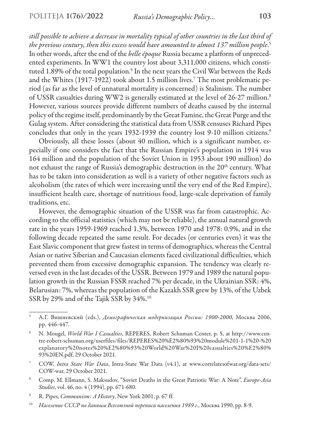*still possible to achieve a decrease in mortality typical of other countries in the last third of the previous century, then this excess would have amounted to almost 137 million people*. 5 In other words, after the end of the *belle époque* Russia became a platform of unprecedented experiments. In WW1 the country lost about 3,311,000 citizens, which constituted 1.89% of the total population.<sup>6</sup> In the next years the Civil War between the Reds and the Whites (1917-1922) took about 1.5 million lives.7 The most problematic period (as far as the level of unnatural mortality is concerned) is Stalinism. The number of USSR casualties during WW2 is generally estimated at the level of 26-27 million.8 However, various sources provide different numbers of deaths caused by the internal policy of the regime itself, predominantly by the Great Famine, the Great Purge and the Gulag system. After considering the statistical data from USSR censuses Richard Pipes concludes that only in the years 1932-1939 the country lost 9-10 million citizens.<sup>9</sup>

Obviously, all these losses (about 40 million, which is a significant number, especially if one considers the fact that the Russian Empire's population in 1914 was 164 million and the population of the Soviet Union in 1953 about 190 million) do not exhaust the range of Russia's demographic destruction in the 20<sup>th</sup> century. What has to be taken into consideration as well is a variety of other negative factors such as alcoholism (the rates of which were increasing until the very end of the Red Empire), insufficient health care, shortage of nutritious food, large-scale deprivation of family traditions, etc.

However, the demographic situation of the USSR was far from catastrophic. According to the official statistics (which may not be reliable), the annual natural growth rate in the years 1959-1969 reached 1.3%, between 1970 and 1978: 0.9%, and in the following decade repeated the same result. For decades (or centuries even) it was the East Slavic component that grew fastest in terms of demographics, whereas the Central Asian or native Siberian and Caucasian elements faced civilizational difficulties, which prevented them from excessive demographic expansion. The tendency was clearly reversed even in the last decades of the USSR. Between 1979 and 1989 the natural population growth in the Russian FSSR reached 7% per decade, in the Ukrainian SSR: 4%, Belarusian: 7%, whereas the population of the Kazakh SSR grew by 13%, of the Uzbek SSR by 29% and of the Tajik SSR by 34%.10

<sup>5</sup> А.Г. Вишневский (eds.), *Демографическая модернизация России: 1900-2000*, Москва 2006, pp. 446-447.

<sup>6</sup> N. Mougel, *World War I Casualties*, REРERES, Robert Schuman Center, p. 5, at http://www.centre-robert-schuman.org/userfiles/files/REPERES%20%E2%80%93%20module%201-1-1%20-%20 explanatory%20notes%20%E2%80%93%20World%20War%20I%20casualties%20%E2%80% 93%20EN.pdf, 29 October 2021.

<sup>7</sup> COW, *Intra State War Data*, Intra-State War Data (v4.1), at www.correlatesofwar.org/data-sets/ COW-war, 29 October 2021.

<sup>8</sup> Comp. M. Ellmann, S. Maksudov, "Soviet Deaths in the Great Patriotic War: A Note", *Europe-Asia Studies*, vol. 46, no. 4 (1994), рр. 671-680.

<sup>9</sup> R. Pipes, *Communism: A History*, New York 2001, p. 67 ff.

<sup>10</sup> *Население СССР по данным Всесоюзной переписи населения 1989 г.*, Москва 1990, pp. 8-9.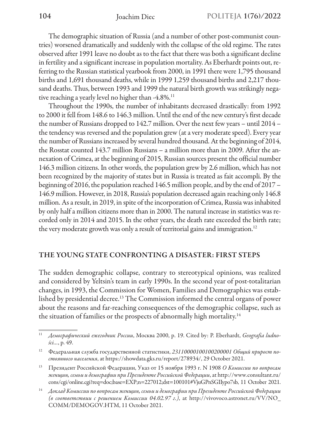The demographic situation of Russia (and a number of other post-communist countries) worsened dramatically and suddenly with the collapse of the old regime. The rates observed after 1991 leave no doubt as to the fact that there was both a significant decline in fertility and a significant increase in population mortality. As Eberhardt points out, referring to the Russian statistical yearbook from 2000, in 1991 there were 1,795 thousand births and 1,691 thousand deaths, while in 1999 1,259 thousand births and 2,217 thousand deaths. Thus, between 1993 and 1999 the natural birth growth was strikingly negative reaching a yearly level no higher than  $-4.8\%$ .<sup>11</sup>

Throughout the 1990s, the number of inhabitants decreased drastically: from 1992 to 2000 it fell from 148.6 to 146.3 million. Until the end of the new century's first decade the number of Russians dropped to 142.7 million. Over the next few years – until 2014 – the tendency was reversed and the population grew (at a very moderate speed). Every year the number of Russians increased by several hundred thousand. At the beginning of 2014, the Rosstat counted 143.7 million Russians – a million more than in 2009. After the annexation of Crimea, at the beginning of 2015, Russian sources present the official number 146.3 million citizens. In other words, the population grew by 2.6 million, which has not been recognized by the majority of states but in Russia is treated as fait accompli. By the beginning of 2016, the population reached 146.5 million people, and by the end of 2017 – 146.9 million. However, in 2018, Russia's population decreased again reaching only 146.8 million. As a result, in 2019, in spite of the incorporation of Crimea, Russia was inhabited by only half a million citizens more than in 2000. The natural increase in statistics was recorded only in 2014 and 2015. In the other years, the death rate exceeded the birth rate; the very moderate growth was only a result of territorial gains and immigration.<sup>12</sup>

#### THE YOUNG STATE CONFRONTING A DISASTER: FIRST STEPS

The sudden demographic collapse, contrary to stereotypical opinions, was realized and considered by Yeltsin's team in early 1990s. In the second year of post-totalitarian changes, in 1993, the Commission for Women, Families and Demographics was established by presidential decree.13 The Commission informed the central organs of power about the reasons and far-reaching consequences of the demographic collapse, such as the situation of families or the prospects of abnormally high mortality.<sup>14</sup>

<sup>11</sup> *Демографический ежегодник России*, Москва 2000, р. 19. Cited by: P. Eberhardt, *Geografia ludności…*, p. 49.

<sup>12</sup> Федеральная служба государственной статистики, *23110000100100200001 Общий прирост постоянного населения*, at https://showdata.gks.ru/report/278934/, 29 October 2021.

<sup>13</sup> Президент Российской Федерации, Указ от 15 ноября 1993 г. N 1908 *О Комиссии по вопросам женщин, семьи и демографии при Президенте Российской Федерации*, аt http://www.consultant.ru/ cons/cgi/online.cgi?req=doc;base=EXP;n=227012;dst=100101#VjuGPnSGIIypo7sb, 11 Оctober 2021.

<sup>14</sup> *Доклад Комиссии по вопросам женщин, семьи и демографии при Президенте Российской Федерации (в соответствии с решением Комиссии 04.02.97 г.)*, аt http://vivovoco.astronet.ru/VV/NO\_ COMM/DEMOGOV.HTM, 11 October 2021.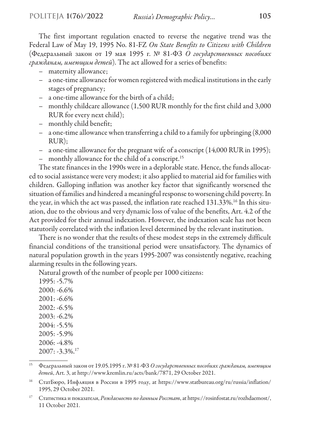The first important regulation enacted to reverse the negative trend was the Federal Law of May 19, 1995 No. 81-FZ *On State Benefits to Citizens with Children* (Федеральный закон от 19 мая 1995 г. № 81-ФЗ *О государственных пособиях гражданам, имеющим детей*). The act allowed for a series of benefits:

- maternity allowance;
- a one-time allowance for women registered with medical institutions in the early stages of pregnancy;
- a one-time allowance for the birth of a child;
- monthly childcare allowance (1,500 RUR monthly for the first child and 3,000 RUR for every next child);
- monthly child benefit;
- a one-time allowance when transferring a child to a family for upbringing (8,000 RUR);
- a one-time allowance for the pregnant wife of a conscript (14,000 RUR in 1995);
- monthly allowance for the child of a conscript.15

The state finances in the 1990s were in a deplorable state. Hence, the funds allocated to social assistance were very modest; it also applied to material aid for families with children. Galloping inflation was another key factor that significantly worsened the situation of families and hindered a meaningful response to worsening child poverty. In the year, in which the act was passed, the inflation rate reached 131.33%.16 In this situation, due to the obvious and very dynamic loss of value of the benefits, Art. 4.2 of the Act provided for their annual indexation. However, the indexation scale has not been statutorily correlated with the inflation level determined by the relevant institution.

There is no wonder that the results of these modest steps in the extremely difficult financial conditions of the transitional period were unsatisfactory. The dynamics of natural population growth in the years 1995-2007 was consistently negative, reaching alarming results in the following years.

Natural growth of the number of people per 1000 citizens:

1995: -5.7% 2000: -6.6%  $2001: -6.6\%$ 2002: -6.5% 2003: -6.2% 2004: -5.5% 2005: -5.9% 2006: -4.8%  $2007: -3.3\%$ <sup>17</sup>

<sup>15</sup> Федеральный закон от 19.05.1995 г. № 81-ФЗ *О государственных пособиях гражданам, имеющим детей*, Art. 3, at http://www.kremlin.ru/acts/bank/7871, 29 October 2021.

<sup>&</sup>lt;sup>16</sup> СтатБюро, Инфляция в России в 1995 году, at https://www.statbureau.org/ru/russia/inflation/ 1995, 29 October 2021.

<sup>17</sup> Статистика и показатели, *Рождаемость по данным Росстат*, at https://rosinfostat.ru/rozhdaemost/, 11 October 2021.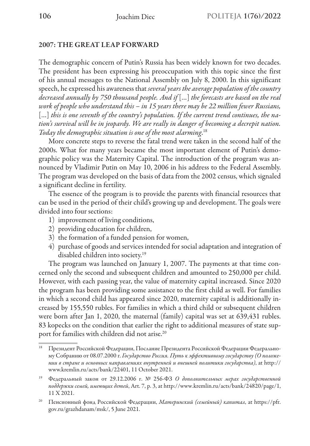### 2007: THE GREAT LEAP FORWARD

The demographic concern of Putin's Russia has been widely known for two decades. The president has been expressing his preoccupation with this topic since the first of his annual messages to the National Assembly on July 8, 2000. In this significant speech, he expressed his awareness that *several years the average population of the country decreased annually by 750 thousand people. And if* […] *the forecasts are based on the real work of people who understand this – in 15 years there may be 22 million fewer Russians,* […] *this is one seventh of the country's population. If the current trend continues, the nation's survival will be in jeopardy. We are really in danger of becoming a decrepit nation. Today the demographic situation is one of the most alarming*. 18

More concrete steps to reverse the fatal trend were taken in the second half of the 2000s. What for many years became the most important element of Putin's demographic policy was the Maternity Capital. The introduction of the program was announced by Vladimir Putin on May 10, 2006 in his address to the Federal Assembly. The program was developed on the basis of data from the 2002 census, which signaled a significant decline in fertility.

The essence of the program is to provide the parents with financial resources that can be used in the period of their child's growing up and development. The goals were divided into four sections:

- 1) improvement of living conditions,
- 2) providing education for children,
- 3) the formation of a funded pension for women,
- 4) purchase of goods and services intended for social adaptation and integration of disabled children into society.<sup>19</sup>

The program was launched on January 1, 2007. The payments at that time concerned only the second and subsequent children and amounted to 250,000 per child. However, with each passing year, the value of maternity capital increased. Since 2020 the program has been providing some assistance to the first child as well. For families in which a second child has appeared since 2020, maternity capital is additionally increased by 155,550 rubles. For families in which a third child or subsequent children were born after Jan 1, 2020, the maternal (family) capital was set at 639,431 rubles. 83 kopecks on the condition that earlier the right to additional measures of state support for families with children did not arise.<sup>20</sup>

<sup>18</sup> Президент Российской Федерации, Послание Президента Российской Федерации Федеральному Собранию от 08.07.2000 г. *Государство Россия. Путь к эффективному государству (О положении в стране и основных направлениях внутренней и внешней политики государства)*, at http:// www.kremlin.ru/acts/bank/22401, 11 October 2021.

<sup>19</sup> Федеральный закон от 29.12.2006 г. № 256-ФЗ *О дополнительных мерах государственной поддержки семей, имеющих детей*, Art. 7, p. 3, аt http://www.kremlin.ru/acts/bank/24820/page/1, 11 X 2021.

<sup>20</sup> Пенсионный фонд Российской Федерации, *Материнский (семейный) капитал*, at https://pfr. gov.ru/grazhdanam/msk/, 5 June 2021.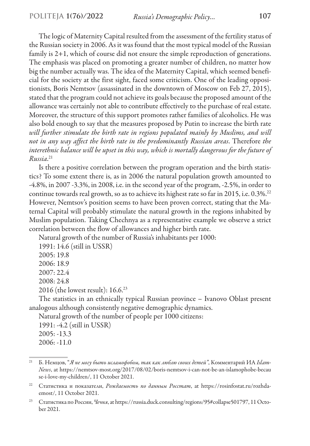The logic of Maternity Capital resulted from the assessment of the fertility status of the Russian society in 2006. As it was found that the most typical model of the Russian family is 2+1, which of course did not ensure the simple reproduction of generations. The emphasis was placed on promoting a greater number of children, no matter how big the number actually was. The idea of the Maternity Capital, which seemed beneficial for the society at the first sight, faced some criticism. One of the leading oppositionists, Boris Nemtsov (assassinated in the downtown of Moscow on Feb 27, 2015), stated that the program could not achieve its goals because the proposed amount of the allowance was certainly not able to contribute effectively to the purchase of real estate. Moreover, the structure of this support promotes rather families of alcoholics. He was also bold enough to say that the measures proposed by Putin to increase the birth rate *will further stimulate the birth rate in regions populated mainly by Muslims, and will not in any way affect the birth rate in the predominantly Russian areas*. Therefore *the interethnic balance will be upset in this way, which is mortally dangerous for the future of Russia*. 21

Is there a positive correlation between the program operation and the birth statistics? To some extent there is, as in 2006 the natural population growth amounted to -4.8%, in 2007 -3.3%, in 2008, i.e. in the second year of the program, -2.5%, in order to continue towards real growth, so as to achieve its highest rate so far in 2015, i.e. 0.3%.22 However, Nemtsov's position seems to have been proven correct, stating that the Maternal Capital will probably stimulate the natural growth in the regions inhabited by Muslim population. Taking Chechnya as a representative example we observe a strict correlation between the flow of allowances and higher birth rate.

Natural growth of the number of Russia's inhabitants per 1000:

1991: 14.6 (still in USSR)

2005: 19.8

2006: 18.9

2007: 22.4

2008: 24.8

2016 (the lowest result): 16.6.23

The statistics in an ethnically typical Russian province – Ivanovo Oblast present analogous although consistently negative demographic dynamics.

Natural growth of the number of people per 1000 citizens:

1991: -4.2 (still in USSR) 2005: -13.3 2006: -11.0

<sup>21</sup> Б. Немцов, "*Я не могу быть исламофобом, так как люблю своих детей"*, Комментарий ИА *Islam-News*, аt https://nemtsov-most.org/2017/08/02/boris-nemtsov-i-can-not-be-an-islamophobe-becau se-i-love-my-children/, 11 Оctober 2021.

<sup>22</sup> Статистика и показатели, *Рождаемость по данным Росстат*, at https://rosinfostat.ru/rozhdaemost/, 11 October 2021.

<sup>&</sup>lt;sup>23</sup> Статистика по России, *Чечня*, at https://russia.duck.consulting/regions/95#collapse501797, 11 October 2021.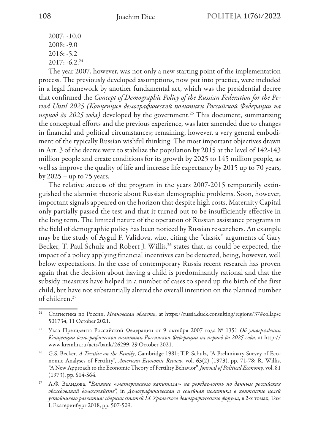$2007: -10.0$ 2008: -9.0 2016: -5.2  $2017: -6.2^{24}$ 

The year 2007, however, was not only a new starting point of the implementation process. The previously developed assumptions, now put into practice, were included in a legal framework by another fundamental act, which was the presidential decree that confirmed the *Concept of Demographic Policy of the Russian Federation for the Period Until 2025 (Концепция демографической политики Российской Федерации на период до 2025 года)* developed by the government.25 This document, summarizing the conceptual efforts and the previous experience, was later amended due to changes in financial and political circumstances; remaining, however, a very general embodiment of the typically Russian wishful thinking. The most important objectives drawn in Art. 3 of the decree were to stabilize the population by 2015 at the level of 142-143 million people and create conditions for its growth by 2025 to 145 million people, as well as improve the quality of life and increase life expectancy by 2015 up to 70 years, by  $2025 -$ up to  $75$  years.

The relative success of the program in the years 2007-2015 temporarily extinguished the alarmist rhetoric about Russian demographic problems. Soon, however, important signals appeared on the horizon that despite high costs, Maternity Capital only partially passed the test and that it turned out to be insufficiently effective in the long term. The limited nature of the operation of Russian assistance programs in the field of demographic policy has been noticed by Russian researchers. An example may be the study of Aygul F. Validova, who, citing the "classic" arguments of Gary Becker, T. Paul Schulz and Robert J. Willis,<sup>26</sup> states that, as could be expected, the impact of a policy applying financial incentives can be detected, being, however, well below expectations. In the case of contemporary Russia recent research has proven again that the decision about having a child is predominantly rational and that the subsidy measures have helped in a number of cases to speed up the birth of the first child, but have not substantially altered the overall intention on the planned number of children.27

<sup>24</sup> Статистика по России, *Ивановская область*, at https://russia.duck.consulting/regions/37#collapse 501734, 11 October 2021.

<sup>25</sup> Указ Президента Российской Федерации от 9 октября 2007 года № 1351 *Об утверждении Концепции демографической политики Российской Федерации на период до 2025 года*, at http:// www.kremlin.ru/acts/bank/26299, 29 October 2021.

<sup>26</sup> G.S. Becker, *A Treatise on the Family*, Cambridge 1981; T.P. Schulz, "A Preliminary Survey of Economic Analyses of Fertility", *American Economic Review*, vol. 63(2) (1973), рр. 71-78; R. Willis, "A New Approach to the Economic Theory of Fertility Behavior", *Journal of Political Economy*, vol. 81 (1973), рр. S14-S64.

<sup>27</sup> А.Ф. Валидова, "*Влияние «материнского капитала» на рождаемость по данным российских обследований домохозяйств*", in *Демографичическая и семейная политика в контексте целей устойчивого развития: сборник статей IX Уральского демографического форума*, в 2-х томах, Том I, Екатеринбург 2018, рp. 507-509.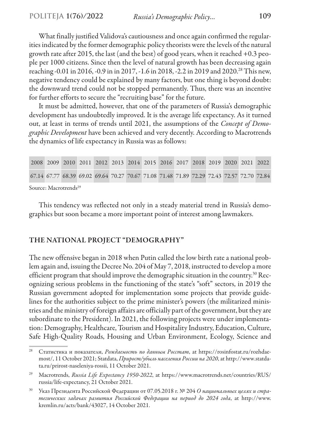What finally justified Validova's cautiousness and once again confirmed the regularities indicated by the former demographic policy theorists were the levels of the natural growth rate after 2015, the last (and the best) of good years, when it reached +0.3 people per 1000 citizens. Since then the level of natural growth has been decreasing again reaching -0.01 in 2016, -0.9 in in 2017, -1.6 in 2018, -2.2 in 2019 and 2020.28 This new, negative tendency could be explained by many factors, but one thing is beyond doubt: the downward trend could not be stopped permanently. Thus, there was an incentive for further efforts to secure the "recruiting base" for the future.

It must be admitted, however, that one of the parameters of Russia's demographic development has undoubtedly improved. It is the average life expectancy. As it turned out, at least in terms of trends until 2021, the assumptions of the *Concept of Demographic Development* have been achieved and very decently. According to Macrotrends the dynamics of life expectancy in Russia was as follows:

|                                   |  |  | 2008 2009 2010 2011 2012 2013 2014 2015 2016 2017 2018 2019 2020 2021 2022                |  |  |  |  |  |  |  |  |
|-----------------------------------|--|--|-------------------------------------------------------------------------------------------|--|--|--|--|--|--|--|--|
|                                   |  |  | 67.14 67.77 68.39 69.02 69.64 70.27 70.67 71.08 71.48 71.89 72.29 72.43 72.57 72.70 72.84 |  |  |  |  |  |  |  |  |
| Source: Macrotrende <sup>29</sup> |  |  |                                                                                           |  |  |  |  |  |  |  |  |

Source: Macrotrends29

This tendency was reflected not only in a steady material trend in Russia's demographics but soon became a more important point of interest among lawmakers.

### THE NATIONAL PROJECT "DEMOGRAPHY"

The new offensive began in 2018 when Putin called the low birth rate a national problem again and, issuing the Decree No. 204 of May 7, 2018, instructed to develop a more efficient program that should improve the demographic situation in the country.<sup>30</sup> Recognizing serious problems in the functioning of the state's "soft" sectors, in 2019 the Russian government adopted for implementation some projects that provide guidelines for the authorities subject to the prime minister's powers (the militarized ministries and the ministry of foreign affairs are officially part of the government, but they are subordinate to the President). In 2021, the following projects were under implementation: Demography, Healthcare, Tourism and Hospitality Industry, Education, Culture, Safe High-Quality Roads, Housing and Urban Environment, Ecology, Science and

<sup>28</sup> Статистика и показатели, *Рождаемость по данным Росстат*, at https://rosinfostat.ru/rozhdaemost/, 11 October 2021; Statdata, *Прирост/убыль населения России на 2020*, at http://www.statdata.ru/prirost-naseleniya-rossii, 11 October 2021.

<sup>29</sup> Macrotrends, *Russia Life Expectancy 1950-2022*, at https://www.macrotrends.net/countries/RUS/ russia/life-expectancy, 21 October 2021.

<sup>&</sup>lt;sup>30</sup> Указ Президента Российской Федерации от 07.05.2018 г. № 204 *О национальных целях и стратегических задачах развития Российской Федерации на период до 2024 года*, аt http://www. kremlin.ru/acts/bank/43027, 14 October 2021.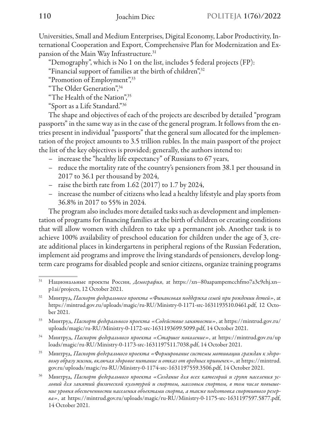Universities, Small and Medium Enterprises, Digital Economy, Labor Productivity, International Cooperation and Export, Comprehensive Plan for Modernization and Expansion of the Main Way Infrastructure.<sup>31</sup>

"Demography", which is No 1 on the list, includes 5 federal projects (FP):

"Financial support of families at the birth of children",32

"Promotion of Employment",33

"The Older Generation",34

"The Health of the Nation",35

"Sport as a Life Standard."36

The shape and objectives of each of the projects are described by detailed "program passports" in the same way as in the case of the general program. It follows from the entries present in individual "passports" that the general sum allocated for the implementation of the project amounts to 3.5 trillion rubles. In the main passport of the project the list of the key objectives is provided; generally, the authors intend to:

- increase the "healthy life expectancy" of Russians to 67 years,
- reduce the mortality rate of the country's pensioners from 38.1 per thousand in 2017 to 36.1 per thousand by 2024,
- raise the birth rate from 1.62 (2017) to 1.7 by 2024,
- increase the number of citizens who lead a healthy lifestyle and play sports from 36.8% in 2017 to 55% in 2024.

The program also includes more detailed tasks such as development and implementation of programs for financing families at the birth of children or creating conditions that will allow women with children to take up a permanent job. Another task is to achieve 100% availability of preschool education for children under the age of 3, create additional places in kindergartens in peripheral regions of the Russian Federation, implement aid programs and improve the living standards of pensioners, develop longterm care programs for disabled people and senior citizens, organize training programs

<sup>35</sup> Минтруд, *Паспорт федерального проекта «Формирование системы мотивации граждан к здоровому образу жизни, включая здоровое питание и отказ от вредных привычек»*, аt https://mintrud. gov.ru/uploads/magic/ru-RU/Ministry-0-1174-src-1631197559.3506.pdf, 14 October 2021.

<sup>31</sup> Национальные проекты России, *Демография*, at https://xn--80aapampemcchfmo7a3c9ehj.xn- p1ai/projects, 12 October 2021.

<sup>32</sup> Минтруд, *Паспорт федерального проекта «Финансовая поддержка семей при рождении детей»*, at https://mintrud.gov.ru/uploads/magic/ru-RU/Ministry-0-1171-src-1631193510.0461.pdf, 12 October 2021.

<sup>33</sup> Минтруд, *Паспорт федерального проекта «Содействие занятости»*, at https://mintrud.gov.ru/ uploads/magic/ru-RU/Ministry-0-1172-src-1631193699.5099.pdf, 14 October 2021.

<sup>34</sup> Минтруд, *Паспорт федерального проекта «Старшее поколение»*, at https://mintrud.gov.ru/up loads/magic/ru-RU/Ministry-0-1173-src-1631197511.7038.pdf, 14 October 2021.

<sup>36</sup> Минтруд, *Паспорт федерального проекта «Создание для всех категорий и групп населения условий для занятий физической культурой и спортом, массовым спортом, в том числе повышение уровня обеспеченности населения объектами спорта, а также подготовка спортивного резерва»*, at https://mintrud.gov.ru/uploads/magic/ru-RU/Ministry-0-1175-src-1631197597.5877.pdf, 14 October 2021.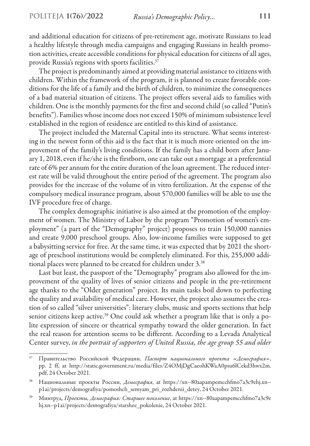and additional education for citizens of pre-retirement age, motivate Russians to lead a healthy lifestyle through media campaigns and engaging Russians in health promotion activities, create accessible conditions for physical education for citizens of all ages, provide Russia's regions with sports facilities. $3\overline{7}$ 

The project is predominantly aimed at providing material assistance to citizens with children. Within the framework of the program, it is planned to create favorable conditions for the life of a family and the birth of children, to minimize the consequences of a bad material situation of citizens. The project offers several aids to families with children. One is the monthly payments for the first and second child (so called "Putin's benefits"). Families whose income does not exceed 150% of minimum subsistence level established in the region of residence are entitled to this kind of assistance.

The project included the Maternal Capital into its structure. What seems interesting in the newest form of this aid is the fact that it is much more oriented on the improvement of the family's living conditions. If the family has a child born after January 1, 2018, even if he/she is the firstborn, one can take out a mortgage at a preferential rate of 6% per annum for the entire duration of the loan agreement. The reduced interest rate will be valid throughout the entire period of the agreement. The program also provides for the increase of the volume of in vitro fertilization. At the expense of the compulsory medical insurance program, about 570,000 families will be able to use the IVF procedure free of charge.

The complex demographic initiative is also aimed at the promotion of the employment of women. The Ministry of Labor by the program "Promotion of women's employment" (a part of the "Demography" project) proposes to train 150,000 nannies and create 9,000 preschool groups. Also, low-income families were supposed to get a babysitting service for free. At the same time, it was expected that by 2021 the shortage of preschool institutions would be completely eliminated. For this, 255,000 additional places were planned to be created for children under 3.<sup>38</sup>

Last but least, the passport of the "Demography" program also allowed for the improvement of the quality of lives of senior citizens and people in the pre-retirement age thanks to the "Older generation" project. Its main tasks boil down to perfecting the quality and availability of medical care. However, the project also assumes the creation of so called "silver universities": literary clubs, music and sports sections that help senior citizens keep active.<sup>39</sup> One could ask whether a program like that is only a polite expression of sincere or theatrical sympathy toward the older generation. In fact the real reason for attention seems to be different. According to a Levada Analytical Center survey, *in the portrait of supporters of United Russia, the age group 55 and older* 

<sup>37</sup> Правительство Российской Федерации, *Паспорт национального проекта «Демография»*, рр. 2 ff, at http://static.government.ru/media/files/Z4OMjDgCaeohKWaA0psu6lCekd3hwx2m. pdf, 24 October 2021.

<sup>38</sup> Национальные проекты России, *Демография*, at https://xn--80aapampemcchfmo7a3c9ehj.xn- p1ai/projects/demografiya/pomoshch\_semyam\_pri\_rozhdenii\_detey, 24 October 2021.

<sup>39</sup> Минтруд, *Проекты, Демография: Старшее поколение*, аt https://xn--80aapampemcchfmo7a3c9e hj.xn--p1ai/projects/demografiya/starshee\_pokolenie, 24 Оctober 2021.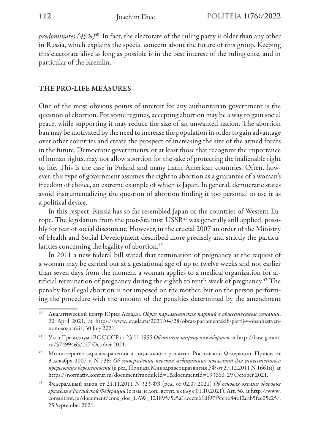*predominates (45%)*40. In fact, the electorate of the ruling party is older than any other in Russia, which explains the special concern about the future of this group. Keeping this electorate alive as long as possible is in the best interest of the ruling elite, and in particular of the Kremlin.

# THE PRO-LIFE MEASURES

One of the most obvious points of interest for any authoritarian government is the question of abortion. For some regimes, accepting abortion may be a way to gain social peace, while supporting it may reduce the size of an unwanted nation. The abortion ban may be motivated by the need to increase the population in order to gain advantage over other countries and create the prospect of increasing the size of the armed forces in the future. Democratic governments, or at least those that recognize the importance of human rights, may not allow abortion for the sake of protecting the inalienable right to life. This is the case in Poland and many Latin American countries. Often, however, this type of government assumes the right to abortion as a guarantee of a woman's freedom of choice, an extreme example of which is Japan. In general, democratic states avoid instrumentalizing the question of abortion finding it too personal to use it as a political device.

In this respect, Russia has so far resembled Japan or the countries of Western Europe. The legislation from the post-Stalinist  $USSR<sup>41</sup>$  was generally still applied, possibly for fear of social discontent. However, in the crucial 2007 an order of the Ministry of Health and Social Development described more precisely and strictly the particularities concerning the legality of abortion.<sup>42</sup>

In 2011 a new federal bill stated that termination of pregnancy at the request of a woman may be carried out at a gestational age of up to twelve weeks and not earlier than seven days from the moment a woman applies to a medical organization for artificial termination of pregnancy during the eighth to tenth week of pregnancy.43 The penalty for illegal abortion is not imposed on the mother, but on the person performing the procedure with the amount of the penalties determined by the amendment

<sup>40</sup> Аналитический центр Юрия Левады, *Образ парламентских партий в общественном сознании*, 20 April 2021, at https://www.levada.ru/2021/04/28/obraz-parlamentskih-partij-v-obshhestvennom-soznanii/, 30 July 2021.

<sup>41</sup> Указ Президиума ВС СССР от 23.11.1955 *Oб отмене запрещения абортов*, at http://base.garant. ru/57499465/, 27 October 2021.

Министерство здравохаранения и социального развития Российской Федерации, Приказ от 3 декабря 2007 г. N 736: *Об утверждении перечня медицинских показаний для искусственного прерывания беременности* (в ред. Приказа Минздравсоцразвития РФ от 27.12.2011 N 1661н), at https://normativ.kontur.ru/document?moduleId=1&documentId=193660, 29 October 2021.

<sup>43</sup> Федеральный закон от 21.11.2011 N 323-ФЗ (ред. от 02.07.2021) *Об основах охраны здоровья граждан в Российской Федерации* (с изм. и доп., вступ. в силу с 01.10.2021), Art. 56, at http://www. consultant.ru/document/cons\_doc\_LAW\_121895/5e5a1acccfe61df97f5fcb684e12cab5fee05e25/, 25 September 2021.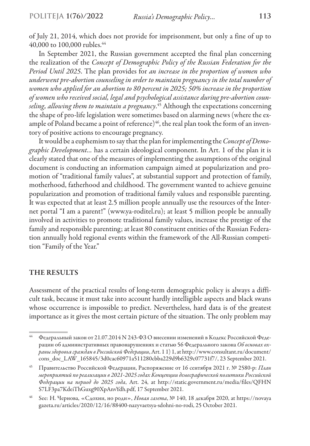of July 21, 2014, which does not provide for imprisonment, but only a fine of up to 40,000 to 100,000 rubles.<sup>44</sup>

In September 2021, the Russian government accepted the final plan concerning the realization of the *Concept of Demographic Policy of the Russian Federation for the Period Until 2025*. The plan provides for *an increase in the proportion of women who underwent pre-abortion counseling in order to maintain pregnancy in the total number of women who applied for an abortion to 80 percent in 2025; 50% increase in the proportion of women who received social, legal and psychological assistance during pre-abortion counseling, allowing them to maintain a pregnancy*. 45 Although the expectations concerning the shape of pro-life legislation were sometimes based on alarming news (where the example of Poland became a point of reference)<sup>46</sup>, the real plan took the form of an inventory of positive actions to encourage pregnancy.

It would be a euphemism to say that the plan for implementing the *Concept of Demographic Development...* has a certain ideological component. In Art. 1 of the plan it is clearly stated that one of the measures of implementing the assumptions of the original document is conducting an information campaign aimed at popularization and promotion of "traditional family values", at substantial support and protection of family, motherhood, fatherhood and childhood. The government wanted to achieve genuine popularization and promotion of traditional family values and responsible parenting. It was expected that at least 2.5 million people annually use the resources of the Internet portal "I am a parent!" (www.ya-roditel.ru); at least 5 million people be annually involved in activities to promote traditional family values, increase the prestige of the family and responsible parenting; at least 80 constituent entities of the Russian Federation annually hold regional events within the framework of the All-Russian competition "Family of the Year."

### THE RESULTS

Assessment of the practical results of long-term demographic policy is always a difficult task, because it must take into account hardly intelligible aspects and black swans whose occurrence is impossible to predict. Nevertheless, hard data is of the greatest importance as it gives the most certain picture of the situation. The only problem may

<sup>&</sup>lt;sup>44</sup> Федеральный закон от 21.07.2014 N 243-ФЗ О внесении изменений в Кодекс Российской Федерации об административных правонарушениях и статью 56 Федерального закона *Об основах охраны здоровья граждан в Российской Федерации*, Art. 1 1) 1, at http://www.consultant.ru/document/ cons\_doc\_LAW\_165845/3d0cac60971a511280cbba229d9b6329c07731f7/, 23 September 2021.

<sup>45</sup> Правительство Российской Федерации, Распоряжение от 16 сентября 2021 г. № 2580-p: *План мероприятий по реализации в 2021-2025 годах Концепции демографической политики Российской Федерации на период до 2025 года*, Art. 24, at http://static.government.ru/media/files/QFHN S7LF3pa7KdeiThGuxg90XpAnvYdh.pdf, 17 September 2021.

<sup>46</sup> See: Н. Чернова, «Сдохни, но роди», *Новая газета*, № 140, 18 декабря 2020, at https://novaya gazeta.ru/articles/2020/12/16/88400-nazyvaetsya-sdohni-no-rodi, 25 October 2021.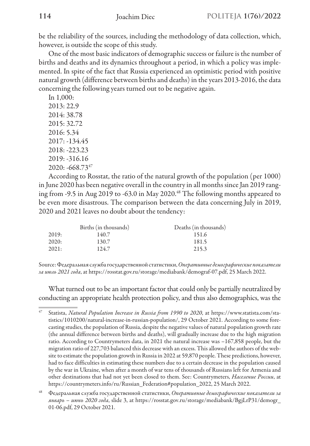be the reliability of the sources, including the methodology of data collection, which, however, is outside the scope of this study.

One of the most basic indicators of demographic success or failure is the number of births and deaths and its dynamics throughout a period, in which a policy was implemented. In spite of the fact that Russia experienced an optimistic period with positive natural growth (difference between births and deaths) in the years 2013-2016, the data concerning the following years turned out to be negative again.

In 1,000: 2013: 22.9 2014: 38.78 2015: 32.72 2016: 5.34 2017: -134.45 2018: -223.23 2019: -316.16  $2020: -668.73^{47}$ 

According to Rosstat, the ratio of the natural growth of the population (per 1000) in June 2020 has been negative overall in the country in all months since Jan 2019 ranging from -9.5 in Aug 2019 to -63.0 in May 2020.48 The following months appeared to be even more disastrous. The comparison between the data concerning July in 2019, 2020 and 2021 leaves no doubt about the tendency:

|       | Births (in thousands) | Deaths (in thousands) |
|-------|-----------------------|-----------------------|
| 2019: | 140.7                 | 151.6                 |
| 2020: | 130.7                 | 181.5                 |
| 2021: | 124.7                 | 215.3                 |

Source: Федеральная служба государственной статистики, *Оперативные демографические показатели за июль 2021 года*, at https://rosstat.gov.ru/storage/mediabank/demograf-07.pdf, 25 March 2022.

What turned out to be an important factor that could only be partially neutralized by conducting an appropriate health protection policy, and thus also demographics, was the

<sup>47</sup> Statista, *Natural Population Increase in Russia from 1990 to 2020*, аt https://www.statista.com/statistics/1010200/natural-increase-in-russian-population/, 29 October 2021. According to some forecasting studies, the population of Russia, despite the negative values of natural population growth rate (the annual difference between births and deaths), will gradually increase due to the high migration ratio. According to Countrymeters data, in 2021 the natural increase was –167,858 people, but the migration ratio of 227,703 balanced this decrease with an excess. This allowed the authors of the website to estimate the population growth in Russia in 2022 at 59,870 people. These predictions, however, had to face difficulties in estimating these numbers due to a certain decrease in the population caused by the war in Ukraine, when after a month of war tens of thousands of Russians left for Armenia and other destinations that had not yet been closed to them. See: Countrymeters, *Население России*, at https://countrymeters.info/ru/Russian\_Federation#population\_2022, 25 March 2022.

<sup>48</sup> Федеральная служба государственной статистики, *Оперативные демографические показатели за январь – июнь 2020 года*, slide 3, at https://rosstat.gov.ru/storage/mediabank/BgjLrP31/demogr\_ 01-06.pdf, 29 October 2021.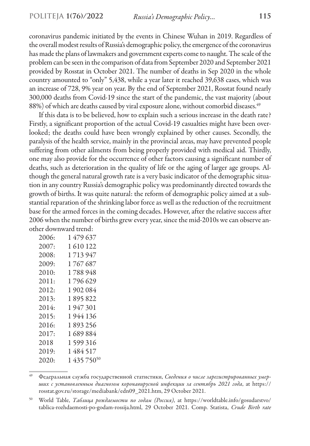coronavirus pandemic initiated by the events in Chinese Wuhan in 2019. Regardless of the overall modest results of Russia's demographic policy, the emergence of the coronavirus has made the plans of lawmakers and government experts come to naught. The scale of the problem can be seen in the comparison of data from September 2020 and September 2021 provided by Rosstat in October 2021. The number of deaths in Sep 2020 in the whole country amounted to "only" 5,438, while a year later it reached 39,638 cases, which was an increase of 728, 9% year on year. By the end of September 2021, Rosstat found nearly 300,000 deaths from Covid-19 since the start of the pandemic, the vast majority (about 88%) of which are deaths caused by viral exposure alone, without comorbid diseases.<sup>49</sup>

If this data is to be believed, how to explain such a serious increase in the death rate? Firstly, a significant proportion of the actual Covid-19 casualties might have been overlooked; the deaths could have been wrongly explained by other causes. Secondly, the paralysis of the health service, mainly in the provincial areas, may have prevented people suffering from other ailments from being properly provided with medical aid. Thirdly, one may also provide for the occurrence of other factors causing a significant number of deaths, such as deterioration in the quality of life or the aging of larger age groups. Although the general natural growth rate is a very basic indicator of the demographic situation in any country Russia's demographic policy was predominantly directed towards the growth of births. It was quite natural: the reform of demographic policy aimed at a substantial reparation of the shrinking labor force as well as the reduction of the recruitment base for the armed forces in the coming decades. However, after the relative success after 2006 when the number of births grew every year, since the mid-2010s we can observe another downward trend:

| 2006: | 1479637                 |
|-------|-------------------------|
| 2007: | 1610122                 |
| 2008: | 1713947                 |
| 2009: | 1767687                 |
| 2010: | 1788948                 |
| 2011: | 1796629                 |
| 2012: | 1902084                 |
| 2013: | 1895822                 |
| 2014: | 1947301                 |
| 2015: | 1944 136                |
| 2016: | 1893256                 |
| 2017: | 1689884                 |
| 2018  | 1599316                 |
| 2019: | 1484517                 |
| 2020: | 1 435 750 <sup>50</sup> |

<sup>49</sup> Федеральная служба государственной статистики, *Сведения о числе зарегистрированных умерших с установленным диагнозом коронавирусной инфекции за сентябрь 2021 года*, at https:// rosstat.gov.ru/storage/mediabank/edn09\_2021.htm, 29 October 2021.

<sup>50</sup> World Table, *Таблица рождаемости по годам (Россия)*, at https://worldtable.info/gosudarstvo/ tablica-rozhdaemosti-po-godam-rossija.html, 29 October 2021. Comp. Statista, *Crude Birth rate*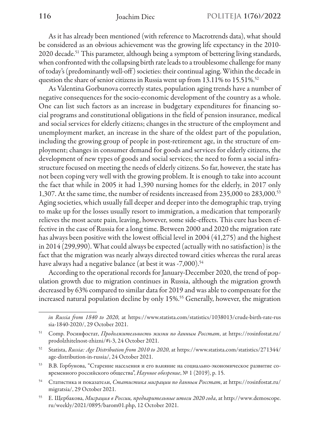As it has already been mentioned (with reference to Macrotrends data), what should be considered as an obvious achievement was the growing life expectancy in the 2010- 2020 decade.<sup>51</sup> This parameter, although being a symptom of bettering living standards, when confronted with the collapsing birth rate leads to a troublesome challenge for many of today's (predominantly well-off ) societies: their continual aging. Within the decade in question the share of senior citizens in Russia went up from 13.11% to 15.51%.52

As Valentina Gorbunova correctly states, population aging trends have a number of negative consequences for the socio-economic development of the country as a whole. One can list such factors as an increase in budgetary expenditures for financing social programs and constitutional obligations in the field of pension insurance, medical and social services for elderly citizens; changes in the structure of the employment and unemployment market, an increase in the share of the oldest part of the population, including the growing group of people in post-retirement age, in the structure of employment; changes in consumer demand for goods and services for elderly citizens, the development of new types of goods and social services; the need to form a social infrastructure focused on meeting the needs of elderly citizens. So far, however, the state has not been coping very well with the growing problem. It is enough to take into account the fact that while in 2005 it had 1,390 nursing homes for the elderly, in 2017 only 1,307. At the same time, the number of residents increased from 235,000 to 283,000.53 Aging societies, which usually fall deeper and deeper into the demographic trap, trying to make up for the losses usually resort to immigration, a medication that temporarily relieves the most acute pain, leaving, however, some side-effects. This cure has been effective in the case of Russia for a long time. Between 2000 and 2020 the migration rate has always been positive with the lowest official level in 2004 (41,275) and the highest in 2014 (299,990). What could always be expected (actually with no satisfaction) is the fact that the migration was nearly always directed toward cities whereas the rural areas have always had a negative balance (at best it was -7,000).<sup>54</sup>

According to the operational records for January-December 2020, the trend of population growth due to migration continues in Russia, although the migration growth decreased by 63% compared to similar data for 2019 and was able to compensate for the increased natural population decline by only 15%.55 Generally, however, the migration

*in Russia from 1840 to 2020*, at https://www.statista.com/statistics/1038013/crude-birth-rate-rus sia-1840-2020/, 29 October 2021.

<sup>51</sup> Comp. Росинфостат, *Продолжительность жизни по данным Росстат*, at https://rosinfostat.ru/ prodolzhitelnost-zhizni/#i-3, 24 October 2021.

<sup>52</sup> Statista, *Russia: Age Distribution from 2010 to 2020*, at https://www.statista.com/statistics/271344/ age-distribution-in-russia/, 24 October 2021.

<sup>53</sup> В.В. Горбунова, "Старение населения и его влияние на социально-экономическое развитие современного российского общества", *Научное обозрение*, № 1 (2019), р. 15.

<sup>54</sup> Статистика и показатели, *Статистика миграции по данным Росстат*, at https://rosinfostat.ru/ migratsia/, 29 October 2021.

<sup>55</sup> Е. Щербакова, *Миграция в России, предварительные итоги 2020 года*, at http://www.demoscope. ru/weekly/2021/0895/barom01.php, 12 October 2021.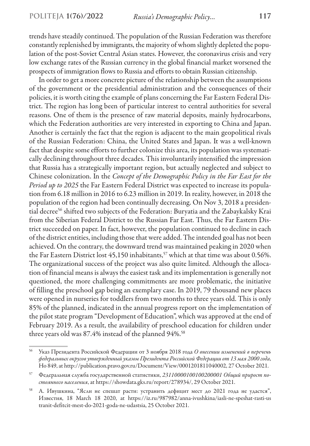trends have steadily continued. The population of the Russian Federation was therefore constantly replenished by immigrants, the majority of whom slightly depleted the population of the post-Soviet Central Asian states. However, the coronavirus crisis and very low exchange rates of the Russian currency in the global financial market worsened the prospects of immigration flows to Russia and efforts to obtain Russian citizenship.

In order to get a more concrete picture of the relationship between the assumptions of the government or the presidential administration and the consequences of their policies, it is worth citing the example of plans concerning the Far Eastern Federal District. The region has long been of particular interest to central authorities for several reasons. One of them is the presence of raw material deposits, mainly hydrocarbons, which the Federation authorities are very interested in exporting to China and Japan. Another is certainly the fact that the region is adjacent to the main geopolitical rivals of the Russian Federation: China, the United States and Japan. It was a well-known fact that despite some efforts to further colonize this area, its population was systematically declining throughout three decades. This involuntarily intensified the impression that Russia has a strategically important region, but actually neglected and subject to Chinese colonization. In the *Concept of the Demographic Policy in the Far East for the Period up to 2025* the Far Eastern Federal District was expected to increase its population from 6.18 million in 2016 to 6.23 million in 2019. In reality, however, in 2018 the population of the region had been continually decreasing. On Nov 3, 2018 a presidential decree<sup>56</sup> shifted two subjects of the Federation: Buryatia and the Zabaykalsky Krai from the Siberian Federal District to the Russian Far East. Thus, the Far Eastern District succeeded on paper. In fact, however, the population continued to decline in each of the district entities, including those that were added. The intended goal has not been achieved. On the contrary, the downward trend was maintained peaking in 2020 when the Far Eastern District lost 45,150 inhabitants,<sup>57</sup> which at that time was about 0.56%. The organizational success of the project was also quite limited. Although the allocation of financial means is always the easiest task and its implementation is generally not questioned, the more challenging commitments are more problematic, the initiative of filling the preschool gap being an exemplary case. In 2019, 79 thousand new places were opened in nurseries for toddlers from two months to three years old. This is only 85% of the planned, indicated in the annual progress report on the implementation of the pilot state program "Development of Education", which was approved at the end of February 2019. As a result, the availability of preschool education for children under three years old was 87.4% instead of the planned 94%.<sup>58</sup>

<sup>56</sup> Указ Президента Российской Федерации от 3 ноября 2018 года *О внесении изменений в перечень федеральных округов утвержденный указом Президента Российской Федерации от 13 мая 2000 года*, Но 849, at http://publication.pravo.gov.ru/Document/View/0001201811040002, 27 October 2021.

<sup>57</sup> Федеральная служба государственной статистики, *23110000100100200001 Общий прирост постоянного населения*, at https://showdata.gks.ru/report/278934/, 29 October 2021.

<sup>58</sup> А. Ивушкина, "Ясли не спешат расти: устранить дефицит мест до 2021 года не удастся", Известия, 18 March 18 2020, at https://iz.ru/987982/anna-ivushkina/iasli-ne-speshat-rasti-us tranit-defitcit-mest-do-2021-goda-ne-udastsia, 25 October 2021.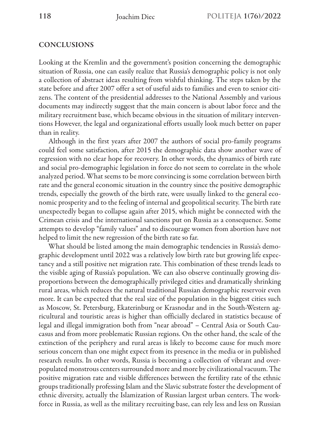### **CONCLUSIONS**

Looking at the Kremlin and the government's position concerning the demographic situation of Russia, one can easily realize that Russia's demographic policy is not only a collection of abstract ideas resulting from wishful thinking. The steps taken by the state before and after 2007 offer a set of useful aids to families and even to senior citizens. The content of the presidential addresses to the National Assembly and various documents may indirectly suggest that the main concern is about labor force and the military recruitment base, which became obvious in the situation of military interventions However, the legal and organizational efforts usually look much better on paper than in reality.

Although in the first years after 2007 the authors of social pro-family programs could feel some satisfaction, after 2015 the demographic data show another wave of regression with no clear hope for recovery. In other words, the dynamics of birth rate and social pro-demographic legislation in force do not seem to correlate in the whole analyzed period. What seems to be more convincing is some correlation between birth rate and the general economic situation in the country since the positive demographic trends, especially the growth of the birth rate, were usually linked to the general economic prosperity and to the feeling of internal and geopolitical security. The birth rate unexpectedly began to collapse again after 2015, which might be connected with the Crimean crisis and the international sanctions put on Russia as a consequence. Some attempts to develop "family values" and to discourage women from abortion have not helped to limit the new regression of the birth rate so far.

What should be listed among the main demographic tendencies in Russia's demographic development until 2022 was a relatively low birth rate but growing life expectancy and a still positive net migration rate. This combination of these trends leads to the visible aging of Russia's population. We can also observe continually growing disproportions between the demographically privileged cities and dramatically shrinking rural areas, which reduces the natural traditional Russian demographic reservoir even more. It can be expected that the real size of the population in the biggest cities such as Moscow, St. Petersburg, Ekaterinburg or Krasnodar and in the South-Western agricultural and touristic areas is higher than officially declared in statistics because of legal and illegal immigration both from "near abroad" – Central Asia or South Caucasus and from more problematic Russian regions. On the other hand, the scale of the extinction of the periphery and rural areas is likely to become cause for much more serious concern than one might expect from its presence in the media or in published research results. In other words, Russia is becoming a collection of vibrant and overpopulated monstrous centers surrounded more and more by civilizational vacuum. The positive migration rate and visible differences between the fertility rate of the ethnic groups traditionally professing Islam and the Slavic substrate foster the development of ethnic diversity, actually the Islamization of Russian largest urban centers. The workforce in Russia, as well as the military recruiting base, can rely less and less on Russian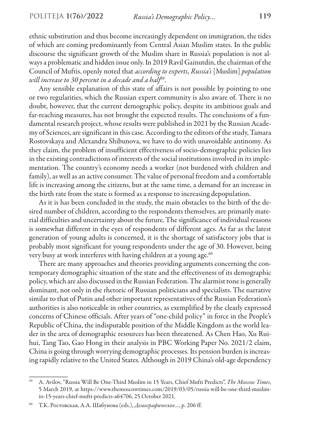ethnic substitution and thus become increasingly dependent on immigration, the tides of which are coming predominantly from Central Asian Muslim states. In the public discourse the significant growth of the Muslim share in Russia's population is not always a problematic and hidden issue only. In 2019 Ravil Gainutdin, the chairman of the Council of Muftis, openly noted that *according to experts, Russia's* [Muslim] *population will increase to 30 percent in a decade and a half*59.

Any sensible explanation of this state of affairs is not possible by pointing to one or two regularities, which the Russian expert community is also aware of. There is no doubt, however, that the current demographic policy, despite its ambitious goals and far-reaching measures, has not brought the expected results. The conclusions of a fundamental research project, whose results were published in 2021 by the Russian Academy of Sciences, are significant in this case. According to the editors of the study, Tamara Rostovskaya and Alexandra Shibunova, we have to do with unavoidable antinomy. As they claim, the problem of insufficient effectiveness of socio-demographic policies lies in the existing contradictions of interests of the social institutions involved in its implementation. The country's economy needs a worker (not burdened with children and family), as well as an active consumer. The value of personal freedom and a comfortable life is increasing among the citizens, but at the same time, a demand for an increase in the birth rate from the state is formed as a response to increasing depopulation.

As it is has been concluded in the study, the main obstacles to the birth of the desired number of children, according to the respondents themselves, are primarily material difficulties and uncertainty about the future. The significance of individual reasons is somewhat different in the eyes of respondents of different ages. As far as the latest generation of young adults is concerned, it is the shortage of satisfactory jobs that is probably most significant for young respondents under the age of 30. However, being very busy at work interferes with having children at a young age.<sup>60</sup>

There are many approaches and theories providing arguments concerning the contemporary demographic situation of the state and the effectiveness of its demographic policy, which are also discussed in the Russian Federation. The alarmist tone is generally dominant, not only in the rhetoric of Russian politicians and specialists. The narrative similar to that of Putin and other important representatives of the Russian Federation's authorities is also noticeable in other countries, as exemplified by the clearly expressed concerns of Chinese officials. After years of "one-child policy" in force in the People's Republic of China, the indisputable position of the Middle Kingdom as the world leader in the area of demographic resources has been threatened. As Chen Hao, Xu Ruihui, Tang Tao, Gao Hong in their analysis in PBC Working Paper No. 2021/2 claim, China is going through worrying demographic processes. Its pension burden is increasing rapidly relative to the United States. Although in 2019 China's old-age dependency

<sup>59</sup> A. Avilov, "Russia Will Be One-Third Muslim in 15 Years, Chief Mufti Predicts", *The Moscow Times*, 5 March 2019, at https://www.themoscowtimes.com/2019/03/05/russia-will-be-one-third-muslimin-15-years-chief-mufti-predicts-a64706, 25 October 2021.

<sup>60</sup> Т.К. Ростовская, А.А. Шабунова (eds.), *Демографическое…*, p. 206 ff.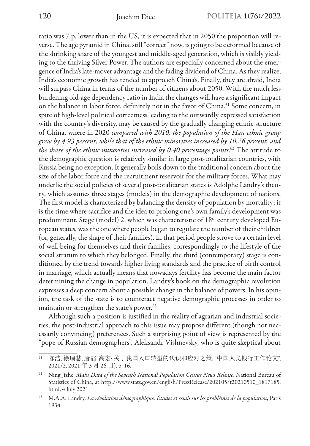ratio was 7 p. lower than in the US, it is expected that in 2050 the proportion will reverse. The age pyramid in China, still "correct" now, is going to be deformed because of the shrinking share of the youngest and middle-aged generation, which is visibly yielding to the thriving Silver Power. The authors are especially concerned about the emergence of India's late-mover advantage and the fading dividend of China. As they realize, India's economic growth has tended to approach China's. Finally, they are afraid, India will surpass China in terms of the number of citizens about 2050. With the much less burdening old-age dependency ratio in India the changes will have a significant impact on the balance in labor force, definitely not in the favor of China.<sup>61</sup> Some concern, in spite of high-level political correctness leading to the outwardly expressed satisfaction with the country's diversity, may be caused by the gradually changing ethnic structure of China, where in 2020 *compared with 2010, the population of the Han ethnic group grew by 4.93 percent, while that of the ethnic minorities increased by 10.26 percent, and the share of the ethnic minorities increased by 0.40 percentage points*. 62 The attitude to the demographic question is relatively similar in large post-totalitarian countries, with Russia being no exception. It generally boils down to the traditional concern about the size of the labor force and the recruitment reservoir for the military forces. What may underlie the social policies of several post-totalitarian states is Adolphe Landry's theory, which assumes three stages (models) in the demographic development of nations. The first model is characterized by balancing the density of population by mortality; it is the time where sacrifice and the idea to prolong one's own family's development was predominant. Stage (model) 2, which was characteristic of 18<sup>th</sup> century developed European states, was the one where people began to regulate the number of their children (or, generally, the shape of their families). In that period people strove to a certain level of well-being for themselves and their families, correspondingly to the lifestyle of the social stratum to which they belonged. Finally, the third (contemporary) stage is conditioned by the trend towards higher living standards and the practice of birth control in marriage, which actually means that nowadays fertility has become the main factor determining the change in population. Landry's book on the demographic revolution expresses a deep concern about a possible change in the balance of powers. In his opinion, the task of the state is to counteract negative demographic processes in order to maintain or strengthen the state's power.<sup>63</sup>

Although such a position is justified in the reality of agrarian and industrial societies, the post-industrial approach to this issue may propose different (though not necessarily convincing) preferences. Such a surprising point of view is represented by the "pope of Russian demographers", Aleksandr Vishnevsky, who is quite skeptical about

<sup>61</sup> 陈浩, 徐瑞慧, 唐滔, 高宏; 关于我国人口转型的认识和应对之策, "中国人民银行工作论文", 2021/2, 2021 年 3 月 26 日), p. 16.

<sup>62</sup> Ning Jizhe, *Main Data of the Seventh National Population Census News Release*, National Bureau of Statistics of China, at http://www.stats.gov.cn/english/PressRelease/202105/t20210510\_1817185. html, 4 July 2021.

<sup>63</sup> M.A.A. Landry, *La révolution démographique. Études et essais sur les problèmes de la population*, Paris 1934.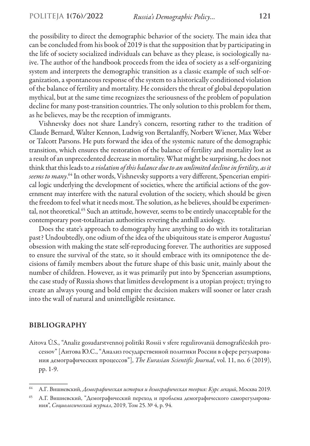the possibility to direct the demographic behavior of the society. The main idea that can be concluded from his book of 2019 is that the supposition that by participating in the life of society socialized individuals can behave as they please, is sociologically naive. The author of the handbook proceeds from the idea of society as a self-organizing system and interprets the demographic transition as a classic example of such self-organization, a spontaneous response of the system to a historically conditioned violation of the balance of fertility and mortality. He considers the threat of global depopulation mythical, but at the same time recognizes the seriousness of the problem of population decline for many post-transition countries. The only solution to this problem for them, as he believes, may be the reception of immigrants.

Vishnevsky does not share Landry's concern, resorting rather to the tradition of Claude Bernard, Walter Kennon, Ludwig von Bertalanffy, Norbert Wiener, Max Weber or Talcott Parsons. He puts forward the idea of the systemic nature of the demographic transition, which ensures the restoration of the balance of fertility and mortality lost as a result of an unprecedented decrease in mortality. What might be surprising, he does not think that this leads to *a violation of this balance due to an unlimited decline in fertility, as it seems to many*. 64 In other words, Vishnevsky supports a very different, Spencerian empirical logic underlying the development of societies, where the artificial actions of the government may interfere with the natural evolution of the society, which should be given the freedom to feel what it needs most. The solution, as he believes, should be experimental, not theoretical.<sup>65</sup> Such an attitude, however, seems to be entirely unacceptable for the contemporary post-totalitarian authorities revering the anthill axiology.

Does the state's approach to demography have anything to do with its totalitarian past? Undoubtedly, one odium of the idea of the ubiquitous state is emperor Augustus' obsession with making the state self-reproducing forever. The authorities are supposed to ensure the survival of the state, so it should embrace with its omnipotence the decisions of family members about the future shape of this basic unit, mainly about the number of children. However, as it was primarily put into by Spencerian assumptions, the case study of Russia shows that limitless development is a utopian project; trying to create an always young and bold empire the decision makers will sooner or later crash into the wall of natural and unintelligible resistance.

### BIBLIOGRAPHY

Aitova Û.S., "Analiz gosudarstvennoj politiki Rossii v sfere regulirovaniâ demografičeskih processov" [Аитова Ю.С., "Анализ государственной политики России в сфере регулирования демографических процессов"], *The Eurasian Scientific Journal*, vol. 11, no. 6 (2019), рр. 1-9.

<sup>64</sup> А.Г. Вишневский, *Демографическая история и демографическая теория: Курс лекций*, Москва 2019.

<sup>65</sup> А.Г. Вишневский, "Демографический переход и проблема демографического саморегулирования", *Социологический журнал*, 2019, Том 25. № 4, р. 94.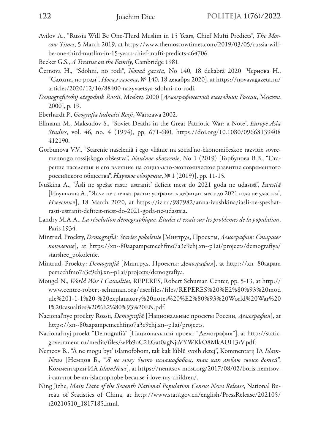- Avilov А., "Russia Will Be One-Third Muslim in 15 Years, Chief Mufti Predicts", *The Moscow Times*, 5 March 2019, at https://www.themoscowtimes.com/2019/03/05/russia-willbe-one-third-muslim-in-15-years-chief-mufti-predicts-a64706.
- Becker G.S., *A Treatise on the Family*, Cambridge 1981.
- Černova H., "Sdohni, no rodi", *Novaâ gazeta,* No 140, 18 dekabrâ 2020 [Чернова H., "Сдохни, но роди", *Новая газета*, № 140, 18 декабря 2020], at https://novayagazeta.ru/ articles/2020/12/16/88400-nazyvaetsya-sdohni-no-rodi.
- *Demografičeskij ežegodnik Rossii*, Moskva 2000 [*Демографический ежегодник России*, Москва 2000], р. 19.
- Eberhardt P., *Geografia ludności Rosji*, Warszawa 2002.
- Ellmann M., Maksudov S., "Soviet Deaths in the Great Patriotic War: a Note", *Europe-Asia Studies*, vol. 46, no. 4 (1994), рр. 671-680, https://doi.org/10.1080/09668139408 412190.
- Gorbunova V.V., "Starenie naseleniâ i ego vliânie na social'no-èkonomičeskoe razvitie sovremennogo rossijskogo obŝestva", *Naučnoe obozrenie*, No 1 (2019) [Горбунова В.В., "Старение населения и его влияние на социально-экономическое развитие современного российского общества", *Научное обозрение*, № 1 (2019)], рр. 11-15.
- Ivuškina A., "Âsli ne spešat rasti: ustranit' deficit mest do 2021 goda ne udastsâ", *Izvestiâ*  [Ивушкина A., "Ясли не спешат расти: устранить дефицит мест до 2021 года не удастся", *Известия*], 18 March 2020, at https://iz.ru/987982/anna-ivushkina/iasli-ne-speshatrasti-ustranit-defitcit-mest-do-2021-goda-ne-udastsia.
- Landry M.A.A., *La révolution démographique. Études et essais sur les problèmes de la population*, Paris 1934.
- Mintrud, Proekty, *Demografiâ: Staršee pokolenie* [Минтруд, Проекты, *Демография: Старшее поколение*], аt https://xn--80aapampemcchfmo7a3c9ehj.xn--p1ai/projects/demografiya/ starshee\_pokolenie.
- Mintrud, Proekty: *Demografiâ* [Минтруд, Проекты: *Демография*], at https://xn--80aapam pemcchfmo7a3c9ehj.xn--p1ai/projects/demografiya.
- Mougel N., *World War I Casualties*, REРERES, Robert Schuman Center, рp. 5-13, at http:// www.centre-robert-schuman.org/userfiles/files/REPERES%20%E2%80%93%20mod ule%201-1-1%20-%20explanatory%20notes%20%E2%80%93%20World%20War%20 I%20casualties%20%E2%80%93%20EN.pdf.
- Nacional'nye proekty Rossii, *Demografiâ* [Национальные проекты России, *Демография*], at https://xn--80aapampemcchfmo7a3c9ehj.xn--p1ai/projects.
- Nacional'nyj proekt "Demografiâ" [Национальный проект "Демография"], at http://static. government.ru/media/files/wPb9oC2EGat0agNjaVYWKkO8MkAUH3rV.pdf.
- Nemcov B., "Â ne mogu byt' islamofobom, tak kak lûblû svoih detej", Kommentarij IA *Islam-News* [Немцов Б., "*Я не могу быть исламофобом, так как люблю своих детей*", Комментарий ИА *IslamNews*], аt https://nemtsov-most.org/2017/08/02/boris-nemtsovi-can-not-be-an-islamophobe-because-i-love-my-children/.
- Ning Jizhe, *Main Data of the Seventh National Population Census News Release*, National Bureau of Statistics of China, at http://www.stats.gov.cn/english/PressRelease/202105/ t20210510\_1817185.html.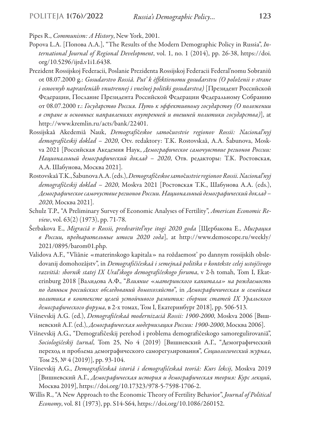Pipes R., *Communism: A History*, New York, 2001.

- Popova L.A. [Попова Л.А.], "The Results of the Modern Demographic Policy in Russia", *International Journal of Regional Development*, vol. 1, no. 1 (2014), рр. 26-38, https://doi. org/10.5296/ijrd.v1i1.6438.
- Prezident Rossijskoj Federacii, Poslanie Prezidenta Rossijskoj Federacii Federal'nomu Sobraniû ot 08.07.2000 g.: *Gosudarstvo Rossiâ. Put' k èffektivnomu gosudarstvu (O položenii v strane*  i osnovnyh napravleniâh vnutrennej i vnešnej politiki gosudarstva) [Президент Российской Федерации, Послание Президента Российской Федерации Федеральному Собранию от 08.07.2000 г.: *Государство Россия. Путь к эффективному государству (О положении в стране и основных направлениях внутренней и внешней политики государства)*], at http://www.kremlin.ru/acts/bank/22401.
- Rossijskaâ Akedemiâ Nauk, *Demografi*č*eskoe samo*č*uvstvie regionov Rossii: Nacional'nyj demografi*č*eskij doklad – 2020*, Otv. redaktory: T.K. Rostovskaâ, A.A. Šabunova, Moskva 2021 [Российская Акедемия Наук, *Демографическое самочувствие регионов России: Национальный демографический доклад – 2020*, Отв. редакторы: Т.К. Ростовская, А.А. Шабунова, Москва 2021].
- Rostovskaâ T.K., Šabunova A.A. (eds.), *Demografi*č*eskoe samo*č*ustvie regionov Rossii. Nacional'nyj demografi*č*eskij doklad – 2020*, Moskva 2021 [Ростовская Т.К., Шабунова А.А. (eds.), *Демографическое самочуствие регионов России. Национальный демографический доклад – 2020*, Москва 2021].
- Schulz T.P., "A Preliminary Survey of Economic Analyses of Fertility", *American Economic Review*, vol. 63(2) (1973), рр. 71-78.
- Ŝerbakova E., *Migraciâ v Rossii, predvaritel'nye itogi 2020 goda* [Щербакова E., *Миграция в России, предварительные итоги 2020 года*], at http://www.demoscope.ru/weekly/ 2021/0895/barom01.php.
- Validova A.F., "Vliânie «materinskogo kapitala» na roždaemost' po dannym rossijskih obsledovanij domohozâjstv", in *Demografičičeskaâ i semejnaâ politika v kontekste celej ustojčivogo razvitiâ: sbornik statej IX Ural'skogo demografičeskogo foruma*, v 2-h tomah, Tom I, Ekaterinburg 2018 [Валидова А.Ф., "*Влияние* «*материнского капитала» на рождаемость по данным российских обследований домохозяйств*", in *Демографичическая и семейная политика в контексте целей устойчивого развития: сборник статей IX Уральского демографического форума*, в 2-х томах, Том I, Екатеринбург 2018], рр. 506-513.
- Višnevskij A.G. (ed.), *Demografičeskaâ modernizaciâ Rossii: 1900-2000*, Moskva 2006 [Вишневский А.Г. (ed.), *Демографическая модернизация России: 1900-2000*, Москва 2006].
- Višnevskij A.G., "Demografičeskij perehod i problema demografičeskogo samoregulirovaniâ", *Sociologičeskij žurnal*, Tom 25, No 4 (2019) [Вишневский А.Г., "Демографический переход и проблема демографического саморегулирования", *Социологический журнал*, Том 25, № 4 (2019)], рр. 93-104.
- Višnevskij A.G., *Demografičeskaâ istoriâ i demografičeskaâ teoriâ: Kurs lekcij*, Moskva 2019 [Вишневский А.Г., *Демографическая история и демографическая теория: Курс лекций*, Москва 2019], https://doi.org/10.17323/978-5-7598-1706-2.
- Willis R., "A New Approach to the Economic Theory of Fertility Behavior", *Journal of Political Economy*, vol. 81 (1973), рр. S14-S64, https://doi.org/10.1086/260152.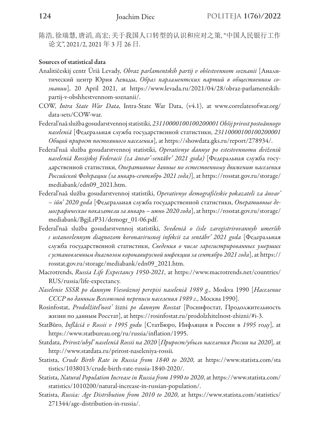陈浩, 徐瑞慧, 唐滔, 高宏; 关于我国人口转型的认识和应对之策, "中国人民银行工作 论文", 2021/2, 2021 年 3 月 26 日.

#### Sources of statistical data

- Analitičeskij centr Ûriâ Levady, *Obraz parlamentskih partij v obŝestvennom soznanii* [Аналитический центр Юрия Левады, *Образ парламентских партий в общественном сознании*], 20 April 2021, at https://www.levada.ru/2021/04/28/obraz-parlamentskihpartij-v-obshhestvennom-soznanii/.
- COW, *Intra State War Data*, Intra-State War Data, (v4.1), at www.correlatesofwar.org/ data-sets/COW-war.
- Federal'naâ služba gosudarstvennoj statistiki, *23110000100100200001 Obŝij prirost postoânnogo naseleniâ* [Федеральная служба государственной статистики, *23110000100100200001 Общий прирост постоянного населения*], at https://showdata.gks.ru/report/278934/.
- Federal'naâ služba gosudarstvennoj statistiki, *Operativnye dannye po estestvennomu dviženiû*  naseleniâ Rossijskoj Federacii (za ânvar'-sentâbr' 2021 goda) [Федеральная служба государственной статистики, *Оперативные данные по естественному движению населения Российской Федерации (за январь-сентябрь 2021 года)*], at https://rosstat.gov.ru/storage/ mediabank/edn09\_2021.htm.
- Federal'naâ služba gosudarstvennoj statistiki, *Operativnye demografičeskie pokazateli za ânvar' – iûn' 2020 goda* [Федеральная служба государственной статистики, *Оперативные демографические показатели за январь – июнь 2020 года*], at https://rosstat.gov.ru/storage/ mediabank/BgjLrP31/demogr\_01-06.pdf.
- Federal'naâ služba gosudarstvennoj statistiki, *Svedeniâ o čisle zaregistrirovannyh umerših s ustanovlennym diagnozom koronavirusnoj infekcii za sentâbr' 2021 goda* [Федеральная служба государственной статистики, *Сведения о числе зарегистрированных умерших с установленным диагнозом коронавирусной инфекции за сентябрь 2021 года*], at https:// rosstat.gov.ru/storage/mediabank/edn09\_2021.htm.
- Macrotrends, *Russia Life Expectancy 1950-2021*, at https://www.macrotrends.net/countries/ RUS/russia/life-expectancy.
- *Naselenie SSSR po dannym Vsesoûznoj perepisi naseleniâ 1989 g.*, Moskva 1990 [*Население СССР по данным Всесоюзной переписи населения 1989 г.*, Москва 1990].
- Rosinfostat, *Prodolžitel'nost'* žizni *po dannym Rosstat* [Росинфостат, Продолжительность жизни по данным Росстат], at https://rosinfostat.ru/prodolzhitelnost-zhizni/#i-3.
- StatBûro, *Inflâciâ v Rossii v 1995 godu* [СтатБюро, Инфляция в России в *1995* году], at https://www.statbureau.org/ru/russia/inflation/1995.
- Statdata, *Prirost/ubyl' naseleniâ Rossii na 2020* [*Прирост/убыль населения России на 2020*], at http://www.statdata.ru/prirost-naseleniya-rossii.
- Statista, *Crude Birth Rate in Russia from 1840 to 2020*, at https://www.statista.com/sta tistics/1038013/crude-birth-rate-russia-1840-2020/.
- Statista, *Natural Population Increase in Russia from 1990 to 2020*, аt https://www.statista.com/ statistics/1010200/natural-increase-in-russian-population/.
- Statista, *Russia: Age Distribution from 2010 to 2020*, at https://www.statista.com/statistics/ 271344/age-distribution-in-russia/.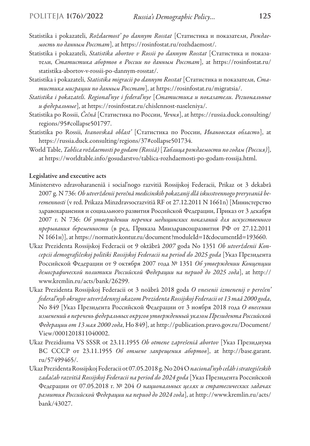- Statistika i pokazateli, *Roždaemost' po dannym Rosstat* [Статистика и показатели, *Рождаемость по данным Росстат*], at https://rosinfostat.ru/rozhdaemost/.
- Statistika i pokazateli, *Statistika abortov v Rossii po dannym Rosstat* [Статистика и показатели, *Статистика абортов в России по данным Росстат*], at https://rosinfostat.ru/ statistika-abortov-v-rossii-po-dannym-rosstat/.
- Statistika i pokazateli, *Statistika migracii po dannym Rosstat* [Статистика и показатели, *Статистика миграции по данным Росстат*], at https://rosinfostat.ru/migratsia/.
- *Statistika i pokazateli. Regional'nye i federal'nye* [*Статистика и показатели. Региональные и федеральные*], at https://rosinfostat.ru/chislennost-naseleniya/.
- Statistika po Rossii, *Čečnâ* [Статистика по России, *Чечня*], at https://russia.duck.consulting/ regions/95#collapse501797.
- Statistika po Rossii, *Ivanovskaâ oblast'* [Статистика по России, *Ивановская область*], at https://russia.duck.consulting/regions/37#collapse501734.
- World Table, *Tablica roždaemosti po godam (Rossiâ)* [*Таблица рождаемости по годам (Россия)*], at https://worldtable.info/gosudarstvo/tablica-rozhdaemosti-po-godam-rossija.html.

#### Legislative and executive acts

- Ministerstvo zdravoharaneniâ i social'nogo razvitiâ Rossijskoj Federacii, Prikaz ot 3 dekabrâ 2007 g. N 736: *Ob utverždenii perečnâ medicinskih pokazanij dlâ iskusstvennogo preryvaniâ beremennosti* (v red. Prikaza Minzdravsocrazvitiâ RF ot 27.12.2011 N 1661n) [Министерство здравохаранения и социального развития Российской Федерации, Приказ от 3 декабря 2007 г. N 736: *Об утверждении перечня медицинских показаний для искусственного прерывания беременности* (в ред. Приказа Минздравсоцразвития РФ от 27.12.2011 N 1661н)], at https://normativ.kontur.ru/document?moduleId=1&documentId=193660.
- Ukaz Prezidenta Rossijskoj Federacii ot 9 oktâbrâ *2007* goda No 1351 *Ob utverždenii Koncepcii demografičeskoj politiki Rossijskoj Federacii na period do 2025 goda* [Указ Президента Российской Федерации от 9 октября 2007 года № 1351 *Об утверждении Концепции демографической политики Российской Федерации на период до 2025 года*], at http:// www.kremlin.ru/acts/bank/26299.
- Ukaz Prezidenta Rossijskoj Federacii ot 3 noâbrâ 2018 goda *O vnesenii izmenenij v perečen' federal'nyh okrugov utverždennyj ukazom Prezidenta Rossijskoj Federacii ot 13 maâ 2000 goda*, No 849 [Указ Президента Российской Федерации от 3 ноября 2018 года *О внесении изменений в перечень федеральных округов утвержденный указом Президента Российской Федерации от 13 мая 2000 года*, Но 849], at http://publication.pravo.gov.ru/Document/ View/0001201811040002.
- Ukaz Prezidiuma VS SSSR ot 23.11.1955 *Ob otmene zapreŝeniâ abortov* [Указ Президиума ВС СССР от 23.11.1955 *Oб отмене запрещения абортов*], at http://base.garant. ru/57499465/.
- Ukaz Prezidenta Rossijskoj Federacii ot 07.05.2018 g. No 204 O *nacional'nyh celâh i strategičeskih zadačah razvitiâ Rossijskoj Federacii na period do 2024 goda* [Указ Президента Российской Федерации от 07.05.2018 г. № 204 *О национальных целях и стратегических задачах развития Российской Федерации на период до 2024 года*], аt http://www.kremlin.ru/acts/ bank/43027.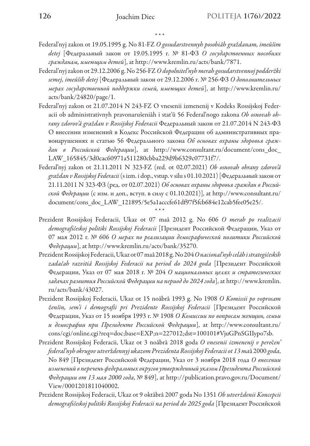\* \* \*

- Federal'nyj zakon ot 19.05.1995 g. No 81-FZ *O gosudarstvennyh posobiâh graždanam, imeûŝim detej* [Федеральный закон от 19.05.1995 г. № 81-ФЗ *О государственных пособиях гражданам, имеющим детей*], at http://www.kremlin.ru/acts/bank/7871.
- Federal'nyj zakon ot 29.12.2006 g. No 256-FZ *O dopolnitel'nyh merah gosudarstvennoj podderžki semej, imeûŝih detej* [Федеральный закон от 29.12.2006 г. № 256-ФЗ *О дополнительных мерах государственной поддержки семей, имеющих детей*], аt http://www.kremlin.ru/ acts/bank/24820/page/1.
- Federal'nyj zakon ot 21.07.2014 N 243-FZ O vnesenii izmenenij v Kodeks Rossijskoj Federacii ob administrativnyh pravonarušeniâh i stat'û 56 Federal'nogo zakona *Ob osnovah ohrany zdorov'â graždan v Rossijskoj Federacii* Федеральный закон от 21.07.2014 N 243-ФЗ О внесении изменений в Кодекс Российской Федерации об административных правонарушениях и статью 56 Федерального закона *Об основах охраны здоровья граждан в Российской Федерации*], at http://www.consultant.ru/document/cons\_doc\_ LAW\_165845/3d0cac60971a511280cbba229d9b6329c07731f7/.
- Federal'nyj zakon ot 21.11.2011 N 323-FZ (red. ot 02.07.2021) *Ob osnovah ohrany zdorov'â graždan v Rossijskoj Federacii* (s izm. i dop., vstup. v silu s 01.10.2021) [Федеральный закон от 21.11.2011 N 323-ФЗ (ред. от 02.07.2021) *Об основах охраны здоровья граждан в Российской Федерации* (с изм. и доп., вступ. в силу с 01.10.2021)], at http://www.consultant.ru/ document/cons\_doc\_LAW\_121895/5e5a1acccfe61df97f5fcb684e12cab5fee05e25/.
- Prezident Rossijskoj Federacii, Ukaz ot 07 maâ 2012 g. No 606 *O merah po realizacii demografičeskoj politiki Rossijskoj Federacii* [Президент Российской Федерации, Указ от 07 мая 2012 г. № 606 *О мерах по реализации демографической политики Российской Федерации*], at http://www.kremlin.ru/acts/bank/35270.

\* \* \*

- Prezident Rossijskoj Federacii, Ukaz ot 07 maâ 2018 g. No 204 *O nacional'nyh celâh i strategičeskih zadačah razvitiâ Rossijskoj Federacii na period do 2024 goda* [Президент Российской Федерации, Указ от 07 мая 2018 г. № 204 *О национальных целях и стратегических задачах развития Российской Федерации на период до 2024 года*], аt http://www.kremlin. ru/acts/bank/43027.
- Prezident Rossijskoj Federacii, Ukaz ot 15 noâbrâ 1993 g. No 1908 *O Komissii po voprosam ženŝin, sem'i i demografii pri Prezidente Rossijskoj Federacii* [Президент Российской Федерации, Указ от 15 ноября 1993 г. № 1908 *О Комиссии по вопросам женщин, семьи и демографии при Президенте Российской Федерации*], аt http://www.consultant.ru/ cons/cgi/online.cgi?req=doc;base=EXP;n=227012;dst=100101#VjuGPnSGIIypo7sb.
- Prezident Rossijskoj Federacii, Ukaz ot 3 noâbrâ 2018 goda *O vnesenii izmenenij v pere*č*en' federal'nyh okrugov utver*ž*dennyj ukazom Prezidenta Rossijskoj Federacii ot 13 ma*â 2000 *goda*, No 849 [Президент Российской Федерации, Указ от 3 ноября 2018 года *О внесении изменений в перечень федеральных округов утвержденный указом Президента Российской Федерации от 13 мая 2000 года*, № 849], at http://publication.pravo.gov.ru/Document/ View/0001201811040002.
- Prezident Rossijskoj Federacii, Ukaz ot 9 oktâbrâ 2007 goda No 1351 *Ob utverždenii Koncepcii demografičeskoj politiki Rossijskoj Federacii na period do 2025 goda* [Президент Российской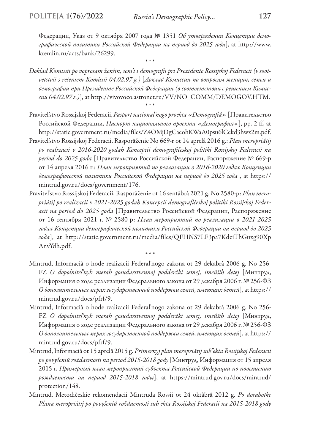Федерации, Указ от 9 октября 2007 года № 1351 *Об утверждении Концепции демографической политики Российской Федерации на период до 2025 года*], at http://www. kremlin.ru/acts/bank/26299.

*Doklad Komissii po voprosam ženŝin, sem'i i demografii pri Prezidente Rossijskoj Federacii (v sootvetstvii s rešeniem Komissii 04.02.97 g.)* [*Доклад Комиссии по вопросам женщин, семьи и демографии при Президенте Российской Федерации (в соответствии с решением Комиссии 04.02.97 г.)*], аt http://vivovoco.astronet.ru/VV/NO\_COMM/DEMOGOV.HTM. \* \* \*

\* \* \*

- Pravitel'stvo Rossijskoj Federacii, *Pasport nacional'nogo proekta «Demografiâ»* [Правительство Российской Федерации, *Паспорт национального проекта «Демография»*], рр. 2 ff, at http://static.government.ru/media/files/Z4OMjDgCaeohKWaA0psu6lCekd3hwx2m.pdf.
- Pravitel'stvo Rossijskoj Federacii, Rasporâženie No 669-r ot 14 aprelâ 2016 g.: *Plan meropriâtij po realizacii v 2016-2020 godah Koncepcii demografičeskoj politiki Rossijskoj Federacii na period do 2025 goda* [Правительство Российской Федерации, Распоряжение № 669-р от 14 апреля 2016 г.: *План мероприятий по реализации в 2016-2020 годах Концепции демографической политики Российской Федерации на период до 2025 года*], at https:// mintrud.gov.ru/docs/government/176.
- Pravitel'stvo Rossijskoj Federacii, Rasporâženie ot 16 sentâbrâ 2021 g. No 2580-p: *Plan meropriâtij po realizacii v 2021-2025 godah Koncepcii demografičeskoj politiki Rossijskoj Federacii na period do 2025 goda* [Правительство Российской Федерации, Распоряжение от 16 сентября 2021 г. № 2580-p: *План мероприятий по реализации в 2021-2025 годах Концепции демографической политики Российской Федерации на период до 2025 года*], at http://static.government.ru/media/files/QFHNS7LF3pa7KdeiThGuxg90Xp AnvYdh.pdf.
	- \* \* \*
- Mintrud, Informaciâ o hode realizacii Federal'nogo zakona ot 29 dekabrâ 2006 g. No 256- FZ *O dopolnitel'nyh merah gosudarstvennoj podderžki semej, imeûŝih detej* [Минтруд, Информация о ходе реализации Федерального закона от 29 декабря 2006 г. № 256-ФЗ *О дополнительных мерах государственной поддержки семей, имеющих детей*], at https:// mintrud.gov.ru/docs/pfrf/9.
- Mintrud, Informaciâ o hode realizacii Federal'nogo zakona ot 29 dekabrâ 2006 g. No 256- FZ *O dopolnitel'nyh merah gosudarstvennoj podderžki semej, imeûŝih detej* [Минтруд, Информация о ходе реализации Федерального закона от 29 декабря 2006 г. № 256-ФЗ *О дополнительных мерах государственной поддержки семей, имеющих детей*], at https:// mintrud.gov.ru/docs/pfrf/9.
- Mintrud, Informaciâ ot 15 aprelâ 2015 g. *Primernyj plan meropriâtij sub"ekta Rossijskoj Federacii po povyšeniû roždaemosti na period 2015-2018 gody* [Минтруд, Информация от 15 апреля 2015 г. *Примерный план мероприятий субъекта Российской Федерации по повышению рождаемости на период 2015-2018 годы*], at https://mintrud.gov.ru/docs/mintrud/ protection/148.
- Mintrud, Metodičeskie rekomendacii Mintruda Rossii ot 24 oktâbrâ 2012 g. *Po dorabotke Plana meropriâtij po povyšeniû roždaemosti sub"ekta Rossijskoj Federacii na 2015-2018 gody*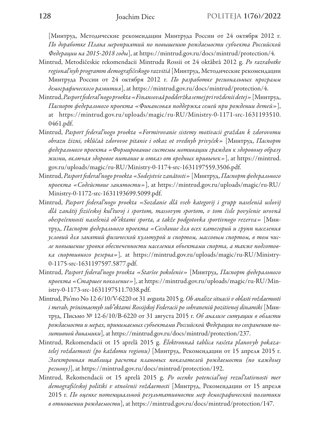[Минтруд, Методические рекомендации Минтруда России от 24 октября 2012 г. *По доработке Плана мероприятий по повышению рождаемости субъекта Российской Федерации на 2015-2018 годы*], at https://mintrud.gov.ru/docs/mintrud/protection/4.

- Mintrud, Metodičeskie rekomendacii Mintruda Rossii ot 24 oktâbrâ 2012 g. *Po razrabotke regional'nyh programm demografičeskogo razvitiâ* [Минтруд, Методические рекомендации Минтруда России от 24 октября 2012 г. *По разработке региональных программ демографического развития*], at https://mintrud.gov.ru/docs/mintrud/protection/4.
- Mintrud, *Pasport federal'nogo proekta «Finansovaâ podderžka semej pri roždenii detej»* [Минтруд, *Паспорт федерального проекта «Финансовая поддержка семей при рождении детей»*], at https://mintrud.gov.ru/uploads/magic/ru-RU/Ministry-0-1171-src-1631193510. 0461.pdf.
- Mintrud, *Pasport federal'nogo proekta «Formirovanie sistemy motivacii graždan k zdorovomu obrazu žizni, vklûčaâ zdorovoe pitanie i otkaz ot vrednyh privyček»* [Минтруд, *Паспорт федерального проекта «Формирование системы мотивации граждан к здоровому образу жизни, включая здоровое питание и отказ от вредных привычек»*], аt https://mintrud. gov.ru/uploads/magic/ru-RU/Ministry-0-1174-src-1631197559.3506.pdf.
- Mintrud, *Pasport federal'nogo proekta «Sodejstvie zanâtosti»* [Минтруд, *Паспорт федерального проекта «Содействие занятости»*], at https://mintrud.gov.ru/uploads/magic/ru-RU/ Ministry-0-1172-src-1631193699.5099.pdf.
- Mintrud, *Pasport federal'nogo proekta «Sozdanie dlâ vseh kategorij i grupp naseleniâ uslovij dlâ zanâtij fizičeskoj kul'turoj i sportom, massovym sportom, v tom čisle povyšenie urovnâ obespečennosti naseleniâ ob"ektami sporta, a takže podgotovka sportivnogo rezerva»* [Минтруд, *Паспорт федерального проекта «Создание для всех категорий и групп населения условий для занятий физической культурой и спортом, массовым спортом, в том числе повышение уровня обеспеченности населения объектами спорта, а также подготовка спортивного резерва»*], at https://mintrud.gov.ru/uploads/magic/ru-RU/Ministry-0-1175-src-1631197597.5877.pdf.
- Mintrud, *Pasport federal'nogo proekta «Staršee pokolenie»* [Минтруд, *Паспорт федерального проекта «Старшее поколение»*], at https://mintrud.gov.ru/uploads/magic/ru-RU/Ministry-0-1173-src-1631197511.7038.pdf.
- Mintrud, Pis'mo No 12-6/10/V-6220 ot 31 avgusta 2015 g. *Ob analize situacii v oblasti roždaemosti i merah, prinimaemyh sub"ektami Rossijskoj Federacii po sohraneniû pozitivnoj dinamiki* [Минтруд, Письмо № 12-6/10/В-6220 от 31 августа 2015 г. *Об анализе ситуации в области рождаемости и мерах, принимаемых субъектами Российской Федерации по сохранению позитивной динамики*], at https://mintrud.gov.ru/docs/mintrud/protection/237.
- Mintrud, Rekomendacii ot 15 aprelâ 2015 g. *Èlektronnaâ tablica rasčeta planovyh pokazatelej roždaemosti (po každomu regionu)* [Минтруд, Рекомендации от 15 апреля 2015 г. *Электронная таблица расчета плановых показателей рождаемости (по каждому региону)*], at https://mintrud.gov.ru/docs/mintrud/protection/192.
- Mintrud, Rekomendacii ot 15 aprelâ 2015 g. *Po ocenke potencial'noj rezul'tativnosti mer demografičeskoj politiki v otnošenii roždaemosti* [Минтруд, Рекомендации от 15 апреля 2015 г. *По оценке потенциальной результативности мер демографической политики в отношении рождаемости*], at https://mintrud.gov.ru/docs/mintrud/protection/147.